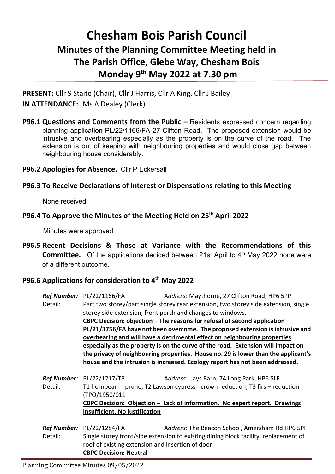## **Chesham Bois Parish Council Minutes of the Planning Committee Meeting held in The Parish Office, Glebe Way, Chesham Bois Monday 9 th May 2022 at 7.30 pm**

**PRESENT:** Cllr S Staite (Chair), Cllr J Harris, Cllr A King, Cllr J Bailey **IN ATTENDANCE:** Ms A Dealey (Clerk)

**P96.1 Questions and Comments from the Public –** Residents expressed concern regarding planning application PL/22/1166/FA 27 Clifton Road. The proposed extension would be intrusive and overbearing especially as the property is on the curve of the road. The extension is out of keeping with neighbouring properties and would close gap between neighbouring house considerably.

**P96.2 Apologies for Absence.** Cllr P Eckersall

## **P96.3 To Receive Declarations of Interest or Dispensations relating to this Meeting**

None received

## **P96.4 To Approve the Minutes of the Meeting Held on 25th April 2022**

Minutes were approved

**P96.5 Recent Decisions & Those at Variance with the Recommendations of this Committee.** Of the applications decided between 21st April to 4<sup>th</sup> May 2022 none were of a different outcome.

## **P96.6 Applications for consideration to 4 th May 2022**

|         | <b>Ref Number:</b> PL/22/1166/FA                                                                                                                            | Address: Maythorne, 27 Clifton Road, HP6 5PP    |  |
|---------|-------------------------------------------------------------------------------------------------------------------------------------------------------------|-------------------------------------------------|--|
| Detail: | Part two storey/part single storey rear extension, two storey side extension, single                                                                        |                                                 |  |
|         | storey side extension, front porch and changes to windows.                                                                                                  |                                                 |  |
|         | CBPC Decision: objection $-$ The reasons for refusal of second application<br>PL/21/3756/FA have not been overcome. The proposed extension is intrusive and |                                                 |  |
|         |                                                                                                                                                             |                                                 |  |
|         | overbearing and will have a detrimental effect on neighbouring properties                                                                                   |                                                 |  |
|         | especially as the property is on the curve of the road. Extension will impact on                                                                            |                                                 |  |
|         | the privacy of neighbouring properties. House no. 29 is lower than the applicant's                                                                          |                                                 |  |
|         | house and the intrusion is increased. Ecology report has not been addressed.                                                                                |                                                 |  |
|         |                                                                                                                                                             |                                                 |  |
|         | <b>Ref Number:</b> PL/22/1217/TP                                                                                                                            | Address: Jays Barn, 74 Long Park, HP6 5LF       |  |
| Detail: | T1 hornbeam - prune; T2 Lawson cypress - crown reduction; T3 firs – reduction                                                                               |                                                 |  |
|         | (TPO/1950/011                                                                                                                                               |                                                 |  |
|         | CBPC Decision: Objection - Lack of information. No expert report. Drawings                                                                                  |                                                 |  |
|         | insufficient. No justification                                                                                                                              |                                                 |  |
|         |                                                                                                                                                             |                                                 |  |
|         | Ref Number: PL/22/1284/FA                                                                                                                                   | Address: The Beacon School, Amersham Rd HP6 5PF |  |
| Detail: | Single storey front/side extension to existing dining block facility, replacement of                                                                        |                                                 |  |
|         | roof of existing extension and insertion of door                                                                                                            |                                                 |  |
|         | <b>CBPC Decision: Neutral</b>                                                                                                                               |                                                 |  |

Planning Committee Minutes 09/05/2022